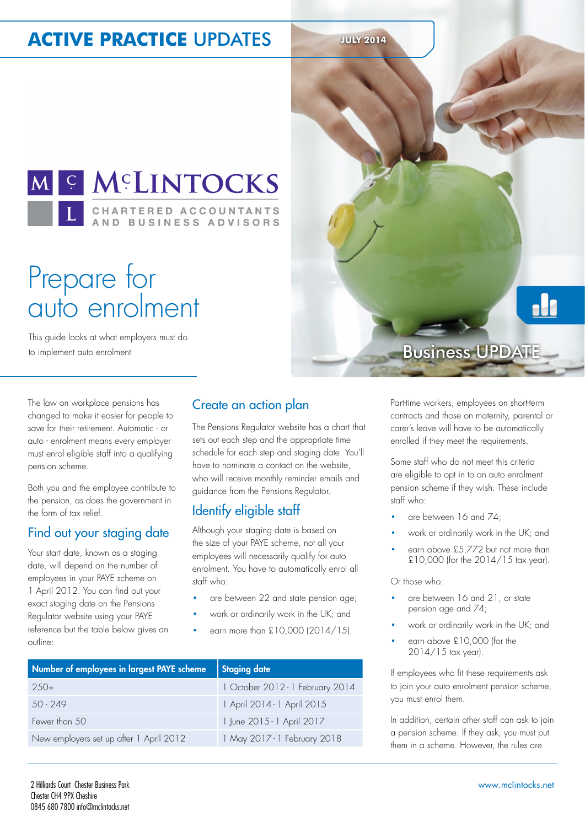# **ACTIVE PRACTICE UPDATES JULY 2014**



# Prepare for auto enrolment

This guide looks at what employers must do to implement auto enrolment

Business UPDATE

The law on workplace pensions has changed to make it easier for people to save for their retirement. Automatic - or auto - enrolment means every employer must enrol eligible staff into a qualifying pension scheme.

Both you and the employee contribute to the pension, as does the government in the form of tax relief.

### Find out your staging date

Your start date, known as a staging date, will depend on the number of employees in your PAYE scheme on 1 April 2012. You can find out your exact staging date on the Pensions Regulator website using your PAYE reference but the table below gives an outline:

#### Create an action plan

The Pensions Regulator website has a chart that sets out each step and the appropriate time schedule for each step and staging date. You'll have to nominate a contact on the website, who will receive monthly reminder emails and guidance from the Pensions Regulator.

## Identify eligible staff

Although your staging date is based on the size of your PAYE scheme, not all your employees will necessarily qualify for auto enrolment. You have to automatically enrol all staff who:

- are between 22 and state pension age;
- work or ordinarily work in the UK; and
- earn more than £10,000 (2014/15).

| Number of employees in largest PAYE scheme | <b>Staging date</b>              |
|--------------------------------------------|----------------------------------|
| $250+$                                     | 1 October 2012 - 1 February 2014 |
| $50 - 249$                                 | 1 April 2014 - 1 April 2015      |
| Fewer than 50                              | 1 June 2015 - 1 April 2017       |
| New employers set up after 1 April 2012    | 1 May 2017 - 1 February 2018     |

Part-time workers, employees on short-term contracts and those on maternity, parental or carer's leave will have to be automatically enrolled if they meet the requirements.

Some staff who do not meet this criteria are eligible to opt in to an auto enrolment pension scheme if they wish. These include staff who:

- are between 16 and 74;
- work or ordinarily work in the UK; and
- earn above £5,772 but not more than £10,000 (for the 2014/15 tax year).

Or those who:

- are between 16 and 21, or state pension age and 74;
- work or ordinarily work in the UK; and
- earn above £10,000 (for the 2014/15 tax year).

If employees who fit these requirements ask to join your auto enrolment pension scheme, you must enrol them.

In addition, certain other staff can ask to join a pension scheme. If they ask, you must put them in a scheme. However, the rules are